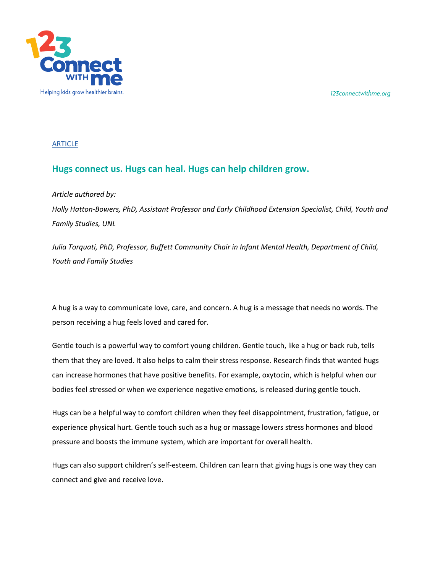*123connectwithme.org*



## ARTICLE

## **Hugs connect us. Hugs can heal. Hugs can help children grow.**

## *Article authored by:*

*Holly Hatton-Bowers, PhD, Assistant Professor and Early Childhood Extension Specialist, Child, Youth and Family Studies, UNL*

*Julia Torquati, PhD, Professor, Buffett Community Chair in Infant Mental Health, Department of Child, Youth and Family Studies*

A hug is a way to communicate love, care, and concern. A hug is a message that needs no words. The person receiving a hug feels loved and cared for.

Gentle touch is a powerful way to comfort young children. Gentle touch, like a hug or back rub, tells them that they are loved. It also helps to calm their stress response. Research finds that wanted hugs can increase hormones that have positive benefits. For example, oxytocin, which is helpful when our bodies feel stressed or when we experience negative emotions, is released during gentle touch.

Hugs can be a helpful way to comfort children when they feel disappointment, frustration, fatigue, or experience physical hurt. Gentle touch such as a hug or massage lowers stress hormones and blood pressure and boosts the immune system, which are important for overall health.

Hugs can also support children's self-esteem. Children can learn that giving hugs is one way they can connect and give and receive love.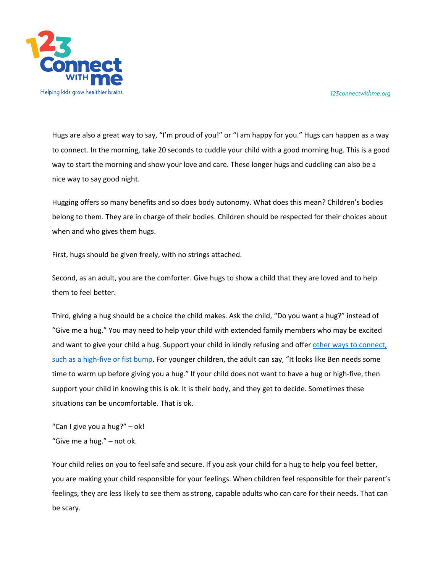

*123connectwithme.org*

Hugs are also a great way to say, "I'm proud of you!" or "I am happy for you." Hugs can happen as a way to connect. In the morning, take 20 seconds to cuddle your child with a good morning hug. This is a good way to start the morning and show your love and care. These longer hugs and cuddling can also be a nice way to say good night.

Hugging offers so many benefits and so does body autonomy. What does this mean? Children's bodies belong to them. They are in charge of their bodies. Children should be respected for their choices about when and who gives them hugs.

First, hugs should be given freely, with no strings attached.

Second, as an adult, you are the comforter. Give hugs to show a child that they are loved and to help them to feel better.

Third, giving a hug should be a choice the child makes. Ask the child, "Do you want a hug?" instead of "Give me a hug." You may need to help your child with extended family members who may be excited and want to give your child a hug. Support your child in kindly refusing and offer other ways to connect, such as a high-five or fist bump. For younger children, the adult can say, "It looks like Ben needs some time to warm up before giving you a hug." If your child does not want to have a hug or high-five, then support your child in knowing this is ok. It is their body, and they get to decide. Sometimes these situations can be uncomfortable. That is ok.

"Can I give you a hug?" – ok! "Give me a hug." – not ok.

Your child relies on you to feel safe and secure. If you ask your child for a hug to help you feel better, you are making your child responsible for your feelings. When children feel responsible for their parent's feelings, they are less likely to see them as strong, capable adults who can care for their needs. That can be scary.